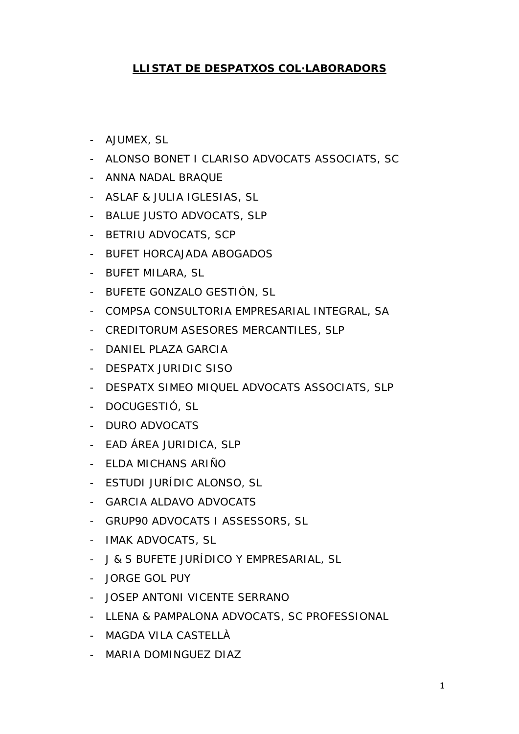## **LLISTAT DE DESPATXOS COL·LABORADORS**

- AJUMEX, SL
- ALONSO BONET I CLARISO ADVOCATS ASSOCIATS, SC
- ANNA NADAL BRAQUE
- ASLAF & JULIA IGLESIAS, SL
- BALUE JUSTO ADVOCATS, SLP
- BETRIU ADVOCATS, SCP
- BUFET HORCAJADA ABOGADOS
- BUFET MILARA, SL
- BUFETE GONZALO GESTIÓN, SL
- COMPSA CONSULTORIA EMPRESARIAL INTEGRAL, SA
- CREDITORUM ASESORES MERCANTILES, SLP
- DANIEL PLAZA GARCIA
- DESPATX JURIDIC SISO
- DESPATX SIMEO MIQUEL ADVOCATS ASSOCIATS, SLP
- DOCUGESTIÓ, SL
- DURO ADVOCATS
- EAD ÁREA JURIDICA, SLP
- ELDA MICHANS ARIÑO
- ESTUDI JURÍDIC ALONSO, SL
- GARCIA ALDAVO ADVOCATS
- GRUP90 ADVOCATS I ASSESSORS, SL
- IMAK ADVOCATS, SL
- J & S BUFETE JURÍDICO Y EMPRESARIAL, SL
- JORGE GOL PUY
- JOSEP ANTONI VICENTE SERRANO
- LLENA & PAMPALONA ADVOCATS, SC PROFESSIONAL
- MAGDA VILA CASTELLÀ
- MARIA DOMINGUEZ DIAZ